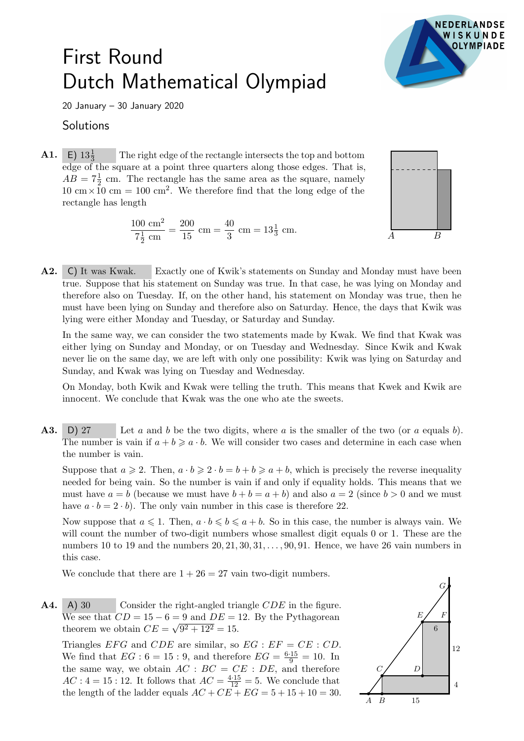## First Round Dutch Mathematical Olympiad



20 January – 30 January 2020

## **Solutions**

**A1.** E)  $13\frac{1}{3}$ <sup>3</sup> The right edge of the rectangle intersects the top and bottom edge of the square at a point three quarters along those edges. That is,  $AB = 7\frac{1}{2}$  cm. The rectangle has the same area as the square, namely  $10 \text{ cm} \times 10 \text{ cm} = 100 \text{ cm}^2$ . We therefore find that the long edge of the rectangle has length

> $100 \text{ cm}^2$  $7\frac{1}{2}$  $rac{1}{2}$  cm  $=\frac{200}{15}$  $\frac{200}{15}$  cm =  $\frac{40}{3}$  $rac{10}{3}$  cm =  $13\frac{1}{3}$  cm.



A2. C) It was Kwak. Exactly one of Kwik's statements on Sunday and Monday must have been true. Suppose that his statement on Sunday was true. In that case, he was lying on Monday and therefore also on Tuesday. If, on the other hand, his statement on Monday was true, then he must have been lying on Sunday and therefore also on Saturday. Hence, the days that Kwik was lying were either Monday and Tuesday, or Saturday and Sunday.

In the same way, we can consider the two statements made by Kwak. We find that Kwak was either lying on Sunday and Monday, or on Tuesday and Wednesday. Since Kwik and Kwak never lie on the same day, we are left with only one possibility: Kwik was lying on Saturday and Sunday, and Kwak was lying on Tuesday and Wednesday.

On Monday, both Kwik and Kwak were telling the truth. This means that Kwek and Kwik are innocent. We conclude that Kwak was the one who ate the sweets.

**A3.** D) 27 Let a and b be the two digits, where a is the smaller of the two (or a equals b). The number is vain if  $a + b \geqslant a \cdot b$ . We will consider two cases and determine in each case when the number is vain.

Suppose that  $a \ge 2$ . Then,  $a \cdot b \ge 2 \cdot b = b + b \ge a + b$ , which is precisely the reverse inequality needed for being vain. So the number is vain if and only if equality holds. This means that we must have  $a = b$  (because we must have  $b + b = a + b$ ) and also  $a = 2$  (since  $b > 0$  and we must have  $a \cdot b = 2 \cdot b$ . The only vain number in this case is therefore 22.

Now suppose that  $a \leq 1$ . Then,  $a \cdot b \leq b \leq a + b$ . So in this case, the number is always vain. We will count the number of two-digit numbers whose smallest digit equals 0 or 1. These are the numbers 10 to 19 and the numbers  $20, 21, 30, 31, \ldots, 90, 91$ . Hence, we have 26 vain numbers in this case.

We conclude that there are  $1 + 26 = 27$  vain two-digit numbers.

 $A4. A30$ Consider the right-angled triangle  $CDE$  in the figure. We see that  $CD = 15 - 6 = 9$  and  $DE = 12$ . By the Pythagorean theorem we obtain  $CE = \sqrt{9^2 + 12^2} = 15$ .

Triangles EFG and CDE are similar, so  $EG : EF = CE : CD$ . We find that  $EG : 6 = 15 : 9$ , and therefore  $EG = \frac{6 \cdot 15}{9} = 10$ . In the same way, we obtain  $AC : BC = CE : DE$ , and therefore  $AC: 4 = 15: 12$ . It follows that  $AC = \frac{4 \cdot 15}{12} = 5$ . We conclude that the length of the ladder equals  $AC + CE + EG = 5 + 15 + 10 = 30$ .

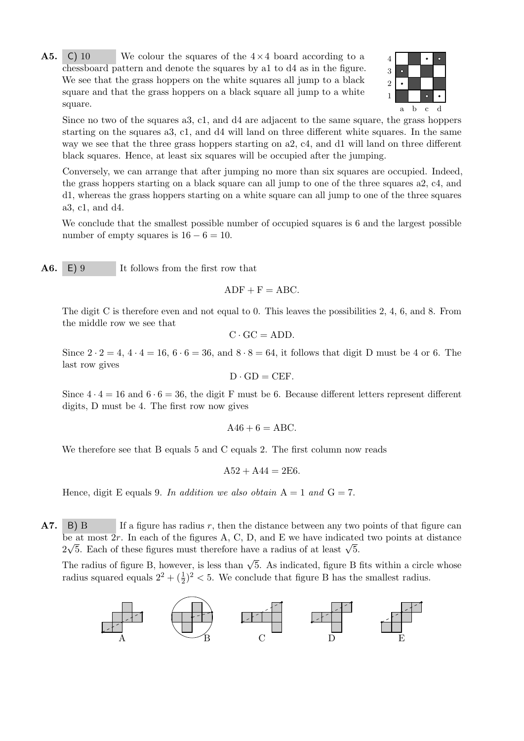$A5.$ C) 10 We colour the squares of the  $4\times4$  board according to a 4 chessboard pattern and denote the squares by a1 to d4 as in the figure. We see that the grass hoppers on the white squares all jump to a black square and that the grass hoppers on a black square all jump to a white square.



Since no two of the squares a3, c1, and d4 are adjacent to the same square, the grass hoppers starting on the squares a3, c1, and d4 will land on three different white squares. In the same way we see that the three grass hoppers starting on a2, c4, and d1 will land on three different black squares. Hence, at least six squares will be occupied after the jumping.

Conversely, we can arrange that after jumping no more than six squares are occupied. Indeed, the grass hoppers starting on a black square can all jump to one of the three squares a2, c4, and d1, whereas the grass hoppers starting on a white square can all jump to one of the three squares a3, c1, and d4.

We conclude that the smallest possible number of occupied squares is 6 and the largest possible number of empty squares is  $16 - 6 = 10$ .

A6. E) 9 It follows from the first row that

 $ADF + F = ABC$ .

The digit C is therefore even and not equal to 0. This leaves the possibilities 2, 4, 6, and 8. From the middle row we see that

$$
C \cdot GC = ADD.
$$

Since  $2 \cdot 2 = 4$ ,  $4 \cdot 4 = 16$ ,  $6 \cdot 6 = 36$ , and  $8 \cdot 8 = 64$ , it follows that digit D must be 4 or 6. The last row gives

$$
D \cdot GD = CEF.
$$

Since  $4 \cdot 4 = 16$  and  $6 \cdot 6 = 36$ , the digit F must be 6. Because different letters represent different digits, D must be 4. The first row now gives

$$
A46 + 6 = ABC.
$$

We therefore see that B equals 5 and C equals 2. The first column now reads

$$
A52 + A44 = 2E6.
$$

Hence, digit E equals 9. In addition we also obtain  $A = 1$  and  $G = 7$ .

**A7.** B) B If a figure has radius r, then the distance between any two points of that figure can be at most 2r. In each of the figures A, C, D, and E we have indicated two points at distance be at most 2r. In each of the lightes A, C, D, and E we have indicated  $2\sqrt{5}$ . Each of these figures must therefore have a radius of at least  $\sqrt{5}$ .

The radius of figure B, however, is less than  $\sqrt{5}$ . As indicated, figure B fits within a circle whose radius squared equals  $2^2 + (\frac{1}{2})^2 < 5$ . We conclude that figure B has the smallest radius.

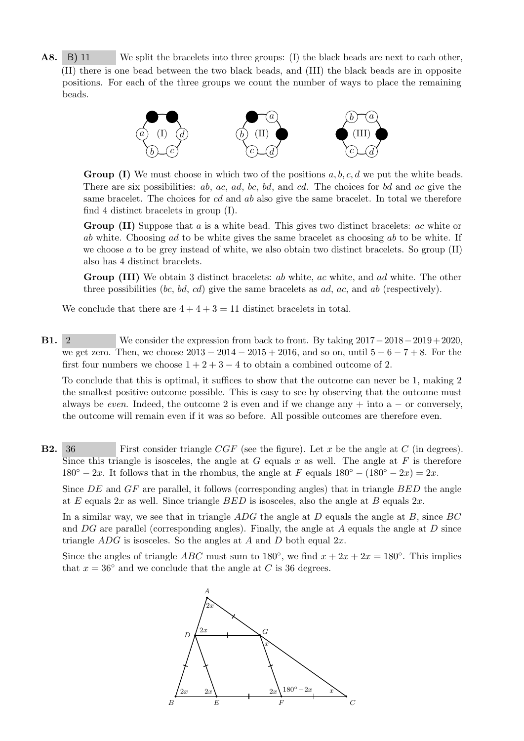A8. B) 11 We split the bracelets into three groups: (I) the black beads are next to each other, (II) there is one bead between the two black beads, and (III) the black beads are in opposite positions. For each of the three groups we count the number of ways to place the remaining beads.



**Group (I)** We must choose in which two of the positions  $a, b, c, d$  we put the white beads. There are six possibilities: ab, ac, ad, bc, bd, and cd. The choices for bd and ac give the same bracelet. The choices for cd and ab also give the same bracelet. In total we therefore find 4 distinct bracelets in group (I).

Group (II) Suppose that a is a white bead. This gives two distinct bracelets: ac white or ab white. Choosing ad to be white gives the same bracelet as choosing ab to be white. If we choose a to be grey instead of white, we also obtain two distinct bracelets. So group  $(II)$ also has 4 distinct bracelets.

Group (III) We obtain 3 distinct bracelets: *ab* white, *ac* white, and *ad* white. The other three possibilities (bc, bd, cd) give the same bracelets as  $ad, ac,$  and  $ab$  (respectively).

We conclude that there are  $4 + 4 + 3 = 11$  distinct bracelets in total.

B1. 2 We consider the expression from back to front. By taking 2017−2018−2019+ 2020, we get zero. Then, we choose  $2013 - 2014 - 2015 + 2016$ , and so on, until  $5 - 6 - 7 + 8$ . For the first four numbers we choose  $1+2+3-4$  to obtain a combined outcome of 2.

To conclude that this is optimal, it suffices to show that the outcome can never be 1, making 2 the smallest positive outcome possible. This is easy to see by observing that the outcome must always be even. Indeed, the outcome 2 is even and if we change any  $+$  into a  $-$  or conversely, the outcome will remain even if it was so before. All possible outcomes are therefore even.

**B2.** 36 First consider triangle  $CGF$  (see the figure). Let x be the angle at C (in degrees). Since this triangle is isosceles, the angle at G equals x as well. The angle at F is therefore  $180° - 2x$ . It follows that in the rhombus, the angle at F equals  $180° - (180° - 2x) = 2x$ .

Since  $DE$  and  $GF$  are parallel, it follows (corresponding angles) that in triangle  $BED$  the angle at E equals  $2x$  as well. Since triangle  $BED$  is isosceles, also the angle at B equals  $2x$ .

In a similar way, we see that in triangle  $ADG$  the angle at D equals the angle at B, since  $BC$ and  $DG$  are parallel (corresponding angles). Finally, the angle at A equals the angle at D since triangle  $ADG$  is isosceles. So the angles at A and D both equal  $2x$ .

Since the angles of triangle *ABC* must sum to 180<sup>°</sup>, we find  $x + 2x + 2x = 180$ <sup>°</sup>. This implies that  $x = 36°$  and we conclude that the angle at C is 36 degrees.